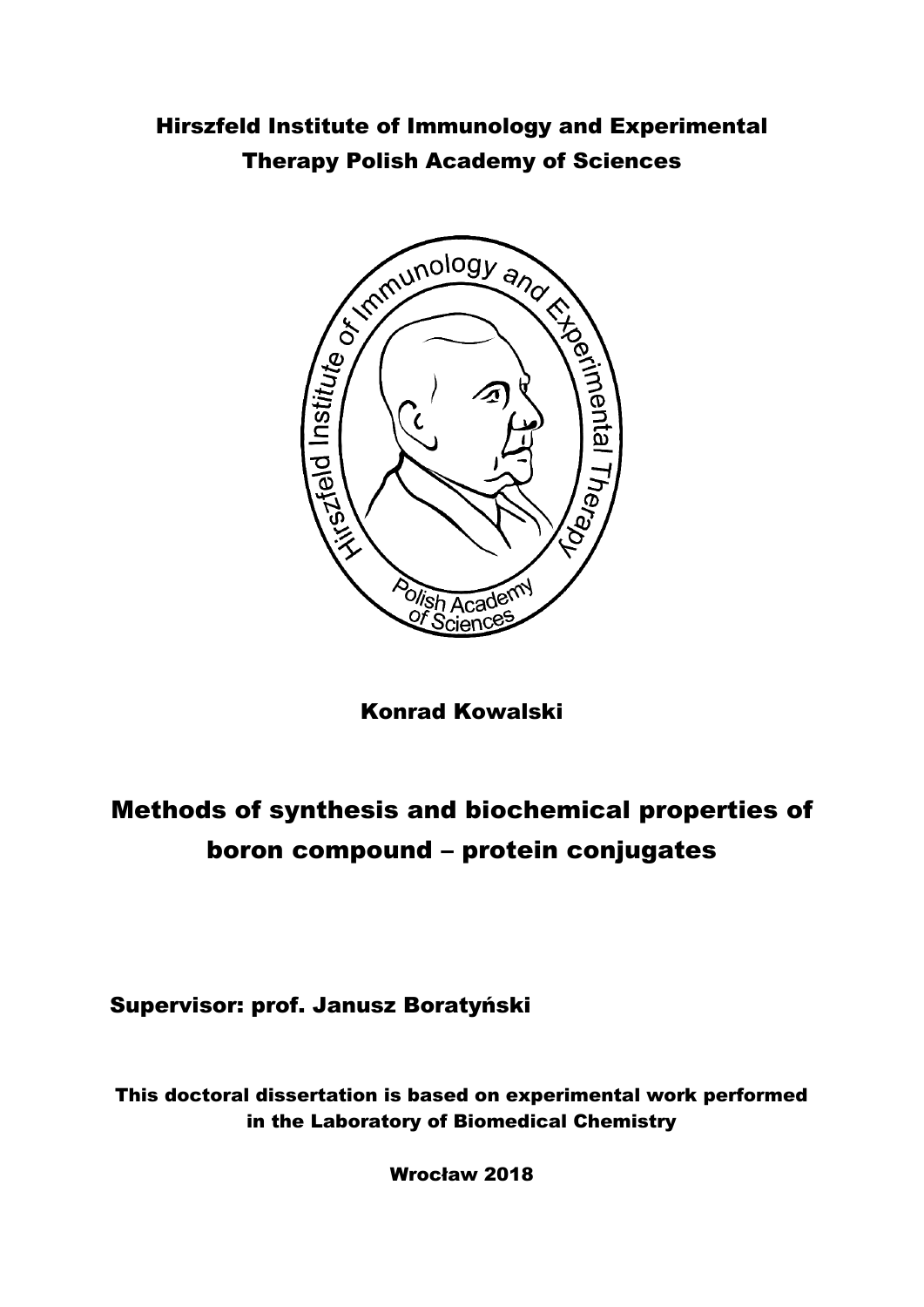## Hirszfeld Institute of Immunology and Experimental Therapy Polish Academy of Sciences



Konrad Kowalski

## Methods of synthesis and biochemical properties of boron compound – protein conjugates

Supervisor: prof. Janusz Boratyński

This doctoral dissertation is based on experimental work performed in the Laboratory of Biomedical Chemistry

Wrocław 2018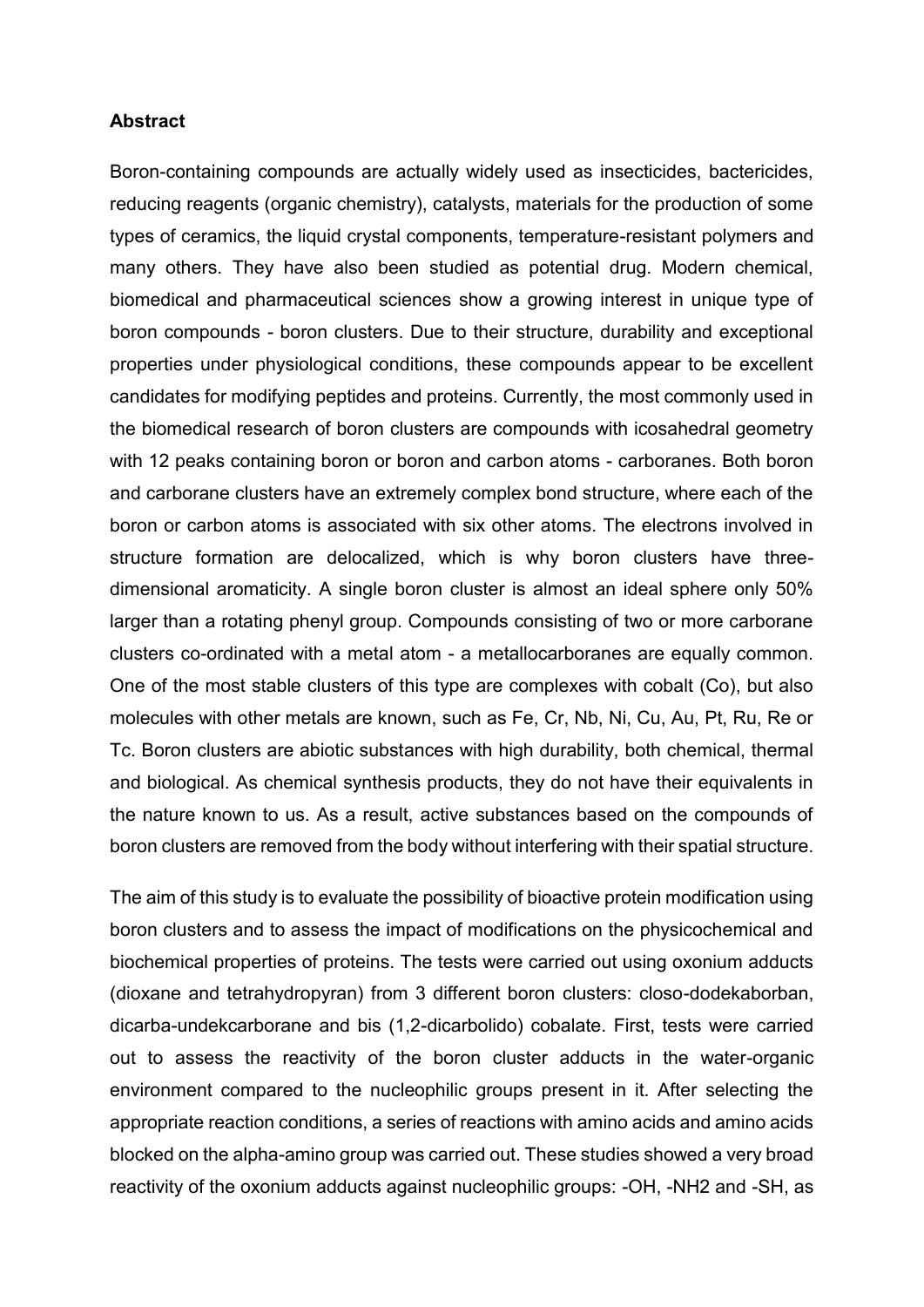## **Abstract**

Boron-containing compounds are actually widely used as insecticides, bactericides, reducing reagents (organic chemistry), catalysts, materials for the production of some types of ceramics, the liquid crystal components, temperature-resistant polymers and many others. They have also been studied as potential drug. Modern chemical, biomedical and pharmaceutical sciences show a growing interest in unique type of boron compounds - boron clusters. Due to their structure, durability and exceptional properties under physiological conditions, these compounds appear to be excellent candidates for modifying peptides and proteins. Currently, the most commonly used in the biomedical research of boron clusters are compounds with icosahedral geometry with 12 peaks containing boron or boron and carbon atoms - carboranes. Both boron and carborane clusters have an extremely complex bond structure, where each of the boron or carbon atoms is associated with six other atoms. The electrons involved in structure formation are delocalized, which is why boron clusters have threedimensional aromaticity. A single boron cluster is almost an ideal sphere only 50% larger than a rotating phenyl group. Compounds consisting of two or more carborane clusters co-ordinated with a metal atom - a metallocarboranes are equally common. One of the most stable clusters of this type are complexes with cobalt (Co), but also molecules with other metals are known, such as Fe, Cr, Nb, Ni, Cu, Au, Pt, Ru, Re or Tc. Boron clusters are abiotic substances with high durability, both chemical, thermal and biological. As chemical synthesis products, they do not have their equivalents in the nature known to us. As a result, active substances based on the compounds of boron clusters are removed from the body without interfering with their spatial structure.

The aim of this study is to evaluate the possibility of bioactive protein modification using boron clusters and to assess the impact of modifications on the physicochemical and biochemical properties of proteins. The tests were carried out using oxonium adducts (dioxane and tetrahydropyran) from 3 different boron clusters: closo-dodekaborban, dicarba-undekcarborane and bis (1,2-dicarbolido) cobalate. First, tests were carried out to assess the reactivity of the boron cluster adducts in the water-organic environment compared to the nucleophilic groups present in it. After selecting the appropriate reaction conditions, a series of reactions with amino acids and amino acids blocked on the alpha-amino group was carried out. These studies showed a very broad reactivity of the oxonium adducts against nucleophilic groups: -OH, -NH2 and -SH, as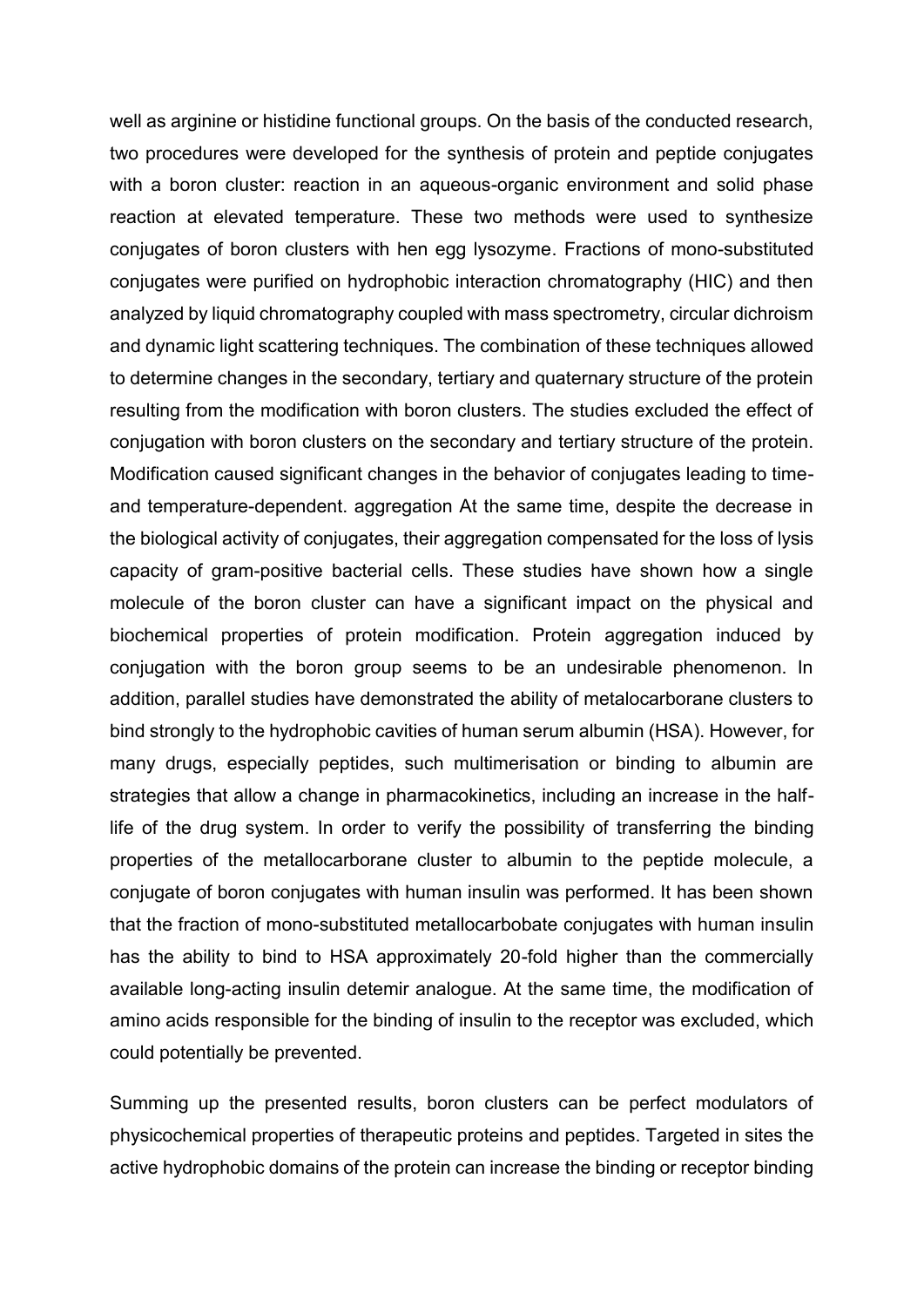well as arginine or histidine functional groups. On the basis of the conducted research, two procedures were developed for the synthesis of protein and peptide conjugates with a boron cluster: reaction in an aqueous-organic environment and solid phase reaction at elevated temperature. These two methods were used to synthesize conjugates of boron clusters with hen egg lysozyme. Fractions of mono-substituted conjugates were purified on hydrophobic interaction chromatography (HIC) and then analyzed by liquid chromatography coupled with mass spectrometry, circular dichroism and dynamic light scattering techniques. The combination of these techniques allowed to determine changes in the secondary, tertiary and quaternary structure of the protein resulting from the modification with boron clusters. The studies excluded the effect of conjugation with boron clusters on the secondary and tertiary structure of the protein. Modification caused significant changes in the behavior of conjugates leading to timeand temperature-dependent. aggregation At the same time, despite the decrease in the biological activity of conjugates, their aggregation compensated for the loss of lysis capacity of gram-positive bacterial cells. These studies have shown how a single molecule of the boron cluster can have a significant impact on the physical and biochemical properties of protein modification. Protein aggregation induced by conjugation with the boron group seems to be an undesirable phenomenon. In addition, parallel studies have demonstrated the ability of metalocarborane clusters to bind strongly to the hydrophobic cavities of human serum albumin (HSA). However, for many drugs, especially peptides, such multimerisation or binding to albumin are strategies that allow a change in pharmacokinetics, including an increase in the halflife of the drug system. In order to verify the possibility of transferring the binding properties of the metallocarborane cluster to albumin to the peptide molecule, a conjugate of boron conjugates with human insulin was performed. It has been shown that the fraction of mono-substituted metallocarbobate conjugates with human insulin has the ability to bind to HSA approximately 20-fold higher than the commercially available long-acting insulin detemir analogue. At the same time, the modification of amino acids responsible for the binding of insulin to the receptor was excluded, which could potentially be prevented.

Summing up the presented results, boron clusters can be perfect modulators of physicochemical properties of therapeutic proteins and peptides. Targeted in sites the active hydrophobic domains of the protein can increase the binding or receptor binding